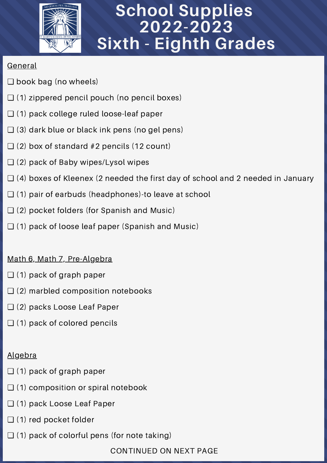

# **School Supplies 2022-2023 Sixth - Eighth Grades**

### General

- ❏ book bag (no wheels)
- ❏ (1) zippered pencil pouch (no pencil boxes)
- ❏ (1) pack college ruled loose-leaf paper
- $\Box$  (3) dark blue or black ink pens (no gel pens)
- $\Box$  (2) box of standard #2 pencils (12 count)
- ❏ (2) pack of Baby wipes/Lysol wipes
- ❏ (4) boxes of Kleenex (2 needed the first day of school and 2 needed in January
- ❏ (1) pair of earbuds (headphones)-to leave at school
- ❏ (2) pocket folders (for Spanish and Music)
- ❏ (1) pack of loose leaf paper (Spanish and Music)

## Math 6, Math 7, Pre-Algebra

- $\Box$  (1) pack of graph paper
- $\Box$  (2) marbled composition notebooks
- ❏ (2) packs Loose Leaf Paper
- $\Box$  (1) pack of colored pencils

## Algebra

- ❏ (1) pack of graph paper
- $\Box$  (1) composition or spiral notebook
- ❏ (1) pack Loose Leaf Paper
- ❏ (1) red pocket folder
- $\Box$  (1) pack of colorful pens (for note taking)

CONTINUED ON NEXT PAGE